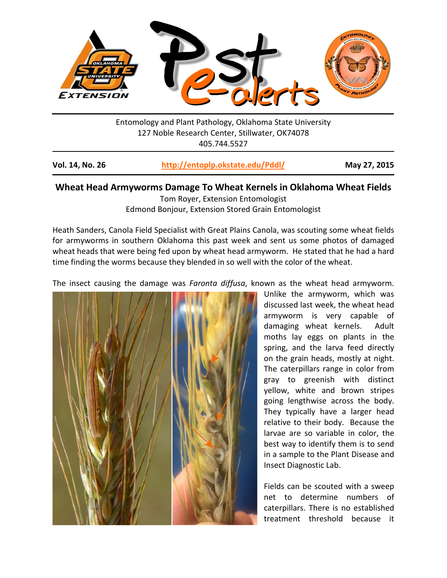

Entomology and Plant Pathology, Oklahoma State University 127 Noble Research Center, Stillwater, OK74078 405.744.5527

| <b>Vol. 14, No. 26</b> | http://entoplp.okstate.edu/Pddl/ | May 27, 2015 |
|------------------------|----------------------------------|--------------|
|------------------------|----------------------------------|--------------|

## **Wheat Head Armyworms Damage To Wheat Kernels in Oklahoma Wheat Fields**

Tom Royer, Extension Entomologist

Edmond Bonjour, Extension Stored Grain Entomologist

Heath Sanders, Canola Field Specialist with Great Plains Canola, was scouting some wheat fields for armyworms in southern Oklahoma this past week and sent us some photos of damaged wheat heads that were being fed upon by wheat head armyworm. He stated that he had a hard time finding the worms because they blended in so well with the color of the wheat.

The insect causing the damage was *Faronta diffusa*, known as the wheat head armyworm.



Unlike the armyworm, which was discussed last week, the wheat head armyworm is very capable of damaging wheat kernels. Adult moths lay eggs on plants in the spring, and the larva feed directly on the grain heads, mostly at night. The caterpillars range in color from gray to greenish with distinct yellow, white and brown stripes going lengthwise across the body. They typically have a larger head relative to their body. Because the larvae are so variable in color, the best way to identify them is to send in a sample to the Plant Disease and Insect Diagnostic Lab.

Fields can be scouted with a sweep net to determine numbers of caterpillars. There is no established treatment threshold because it